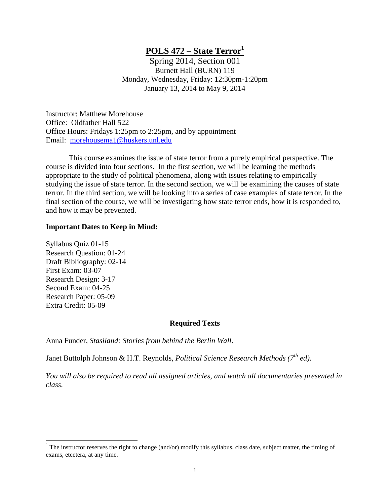# **POLS 472 – State Terror<sup>1</sup>**

Spring 2014, Section 001 Burnett Hall (BURN) 119 Monday, Wednesday, Friday: 12:30pm-1:20pm January 13, 2014 to May 9, 2014

Instructor: Matthew Morehouse Office: Oldfather Hall 522 Office Hours: Fridays 1:25pm to 2:25pm, and by appointment Email: [morehousema1@huskers.unl.edu](mailto:stevensc1@unk.edu)

This course examines the issue of state terror from a purely empirical perspective. The course is divided into four sections. In the first section, we will be learning the methods appropriate to the study of political phenomena, along with issues relating to empirically studying the issue of state terror. In the second section, we will be examining the causes of state terror. In the third section, we will be looking into a series of case examples of state terror. In the final section of the course, we will be investigating how state terror ends, how it is responded to, and how it may be prevented.

#### **Important Dates to Keep in Mind:**

Syllabus Quiz 01-15 Research Question: 01-24 Draft Bibliography: 02-14 First Exam: 03-07 Research Design: 3-17 Second Exam: 04-25 Research Paper: 05-09 Extra Credit: 05-09

 $\overline{a}$ 

#### **Required Texts**

Anna Funder, *Stasiland: Stories from behind the Berlin Wall*.

Janet Buttolph Johnson & H.T. Reynolds, *Political Science Research Methods (7th ed)*.

*You will also be required to read all assigned articles, and watch all documentaries presented in class.*

<sup>&</sup>lt;sup>1</sup> The instructor reserves the right to change (and/or) modify this syllabus, class date, subject matter, the timing of exams, etcetera, at any time.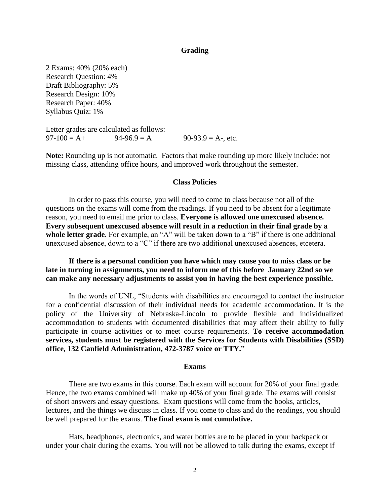## **Grading**

2 Exams: 40% (20% each) Research Question: 4% Draft Bibliography: 5% Research Design: 10% Research Paper: 40% Syllabus Quiz: 1%

Letter grades are calculated as follows:  $97-100 = A +$   $94-96.9 = A$   $90-93.9 = A$ -, etc.

Note: Rounding up is not automatic. Factors that make rounding up more likely include: not missing class, attending office hours, and improved work throughout the semester.

## **Class Policies**

In order to pass this course, you will need to come to class because not all of the questions on the exams will come from the readings. If you need to be absent for a legitimate reason, you need to email me prior to class. **Everyone is allowed one unexcused absence. Every subsequent unexcused absence will result in a reduction in their final grade by a**  whole letter grade. For example, an "A" will be taken down to a "B" if there is one additional unexcused absence, down to a "C" if there are two additional unexcused absences, etcetera.

**If there is a personal condition you have which may cause you to miss class or be late in turning in assignments, you need to inform me of this before January 22nd so we can make any necessary adjustments to assist you in having the best experience possible.** 

In the words of UNL, "Students with disabilities are encouraged to contact the instructor for a confidential discussion of their individual needs for academic accommodation. It is the policy of the University of Nebraska-Lincoln to provide flexible and individualized accommodation to students with documented disabilities that may affect their ability to fully participate in course activities or to meet course requirements. **To receive accommodation services, students must be registered with the Services for Students with Disabilities (SSD) office, 132 Canfield Administration, 472-3787 voice or TTY.**"

#### **Exams**

There are two exams in this course. Each exam will account for 20% of your final grade. Hence, the two exams combined will make up 40% of your final grade. The exams will consist of short answers and essay questions. Exam questions will come from the books, articles, lectures, and the things we discuss in class. If you come to class and do the readings, you should be well prepared for the exams. **The final exam is not cumulative.**

Hats, headphones, electronics, and water bottles are to be placed in your backpack or under your chair during the exams. You will not be allowed to talk during the exams, except if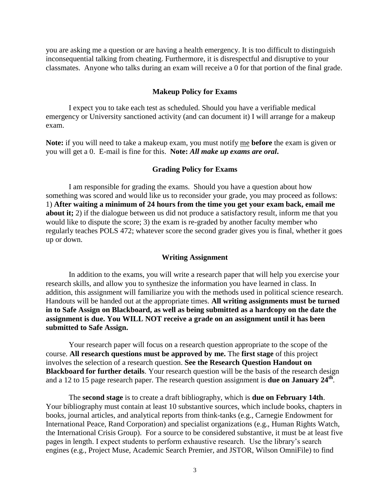you are asking me a question or are having a health emergency. It is too difficult to distinguish inconsequential talking from cheating. Furthermore, it is disrespectful and disruptive to your classmates. Anyone who talks during an exam will receive a 0 for that portion of the final grade.

#### **Makeup Policy for Exams**

I expect you to take each test as scheduled. Should you have a verifiable medical emergency or University sanctioned activity (and can document it) I will arrange for a makeup exam.

**Note:** if you will need to take a makeup exam, you must notify me **before** the exam is given or you will get a 0. E-mail is fine for this. **Note:** *All make up exams are oral***.**

#### **Grading Policy for Exams**

I am responsible for grading the exams. Should you have a question about how something was scored and would like us to reconsider your grade, you may proceed as follows: 1) **After waiting a minimum of 24 hours from the time you get your exam back, email me about it;** 2) if the dialogue between us did not produce a satisfactory result, inform me that you would like to dispute the score; 3) the exam is re-graded by another faculty member who regularly teaches POLS 472; whatever score the second grader gives you is final, whether it goes up or down.

## **Writing Assignment**

In addition to the exams, you will write a research paper that will help you exercise your research skills, and allow you to synthesize the information you have learned in class. In addition, this assignment will familiarize you with the methods used in political science research. Handouts will be handed out at the appropriate times. **All writing assignments must be turned in to Safe Assign on Blackboard, as well as being submitted as a hardcopy on the date the assignment is due. You WILL NOT receive a grade on an assignment until it has been submitted to Safe Assign.** 

Your research paper will focus on a research question appropriate to the scope of the course. **All research questions must be approved by me.** The **first stage** of this project involves the selection of a research question. **See the Research Question Handout on Blackboard for further details**. Your research question will be the basis of the research design and a 12 to 15 page research paper. The research question assignment is **due on January 24th** .

The **second stage** is to create a draft bibliography, which is **due on February 14th**. Your bibliography must contain at least 10 substantive sources, which include books, chapters in books, journal articles, and analytical reports from think-tanks (e.g., Carnegie Endowment for International Peace, Rand Corporation) and specialist organizations (e.g., Human Rights Watch, the International Crisis Group). For a source to be considered substantive, it must be at least five pages in length. I expect students to perform exhaustive research. Use the library's search engines (e.g., Project Muse, Academic Search Premier, and JSTOR, Wilson OmniFile) to find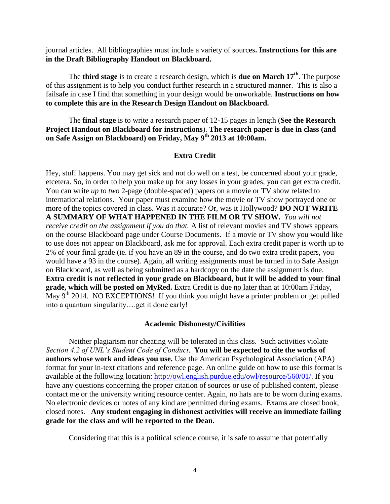journal articles. All bibliographies must include a variety of sources**. Instructions for this are in the Draft Bibliography Handout on Blackboard.** 

The **third stage** is to create a research design, which is **due on March 17th** . The purpose of this assignment is to help you conduct further research in a structured manner. This is also a failsafe in case I find that something in your design would be unworkable. **Instructions on how to complete this are in the Research Design Handout on Blackboard.** 

The **final stage** is to write a research paper of 12-15 pages in length (**See the Research Project Handout on Blackboard for instructions**). **The research paper is due in class (and on Safe Assign on Blackboard) on Friday, May 9th 2013 at 10:00am.**

## **Extra Credit**

Hey, stuff happens. You may get sick and not do well on a test, be concerned about your grade, etcetera. So, in order to help you make up for any losses in your grades, you can get extra credit. You can write *up to two* 2-page (double-spaced) papers on a movie or TV show related to international relations. Your paper must examine how the movie or TV show portrayed one or more of the topics covered in class. Was it accurate? Or, was it Hollywood? **DO NOT WRITE A SUMMARY OF WHAT HAPPENED IN THE FILM OR TV SHOW.** *You will not receive credit on the assignment if you do that.* A list of relevant movies and TV shows appears on the course Blackboard page under Course Documents. If a movie or TV show you would like to use does not appear on Blackboard, ask me for approval. Each extra credit paper is worth up to 2% of your final grade (ie. if you have an 89 in the course, and do two extra credit papers, you would have a 93 in the course)*.* Again, all writing assignments must be turned in to Safe Assign on Blackboard, as well as being submitted as a hardcopy on the date the assignment is due. **Extra credit is not reflected in your grade on Blackboard, but it will be added to your final grade, which will be posted on MyRed.** Extra Credit is due no later than at 10:00am Friday, May 9<sup>th</sup> 2014. NO EXCEPTIONS! If you think you might have a printer problem or get pulled into a quantum singularity….get it done early!

## **Academic Dishonesty/Civilities**

Neither plagiarism nor cheating will be tolerated in this class. Such activities violate *Section 4.2 of UNL's Student Code of Conduct*. **You will be expected to cite the works of authors whose work and ideas you use.** Use the American Psychological Association (APA) format for your in-text citations and reference page. An online guide on how to use this format is available at the following location: [http://owl.english.purdue.edu/owl/resource/560/01/.](http://owl.english.purdue.edu/owl/resource/560/01/) If you have any questions concerning the proper citation of sources or use of published content, please contact me or the university writing resource center. Again, no hats are to be worn during exams. No electronic devices or notes of any kind are permitted during exams. Exams are closed book, closed notes. **Any student engaging in dishonest activities will receive an immediate failing grade for the class and will be reported to the Dean.**

Considering that this is a political science course, it is safe to assume that potentially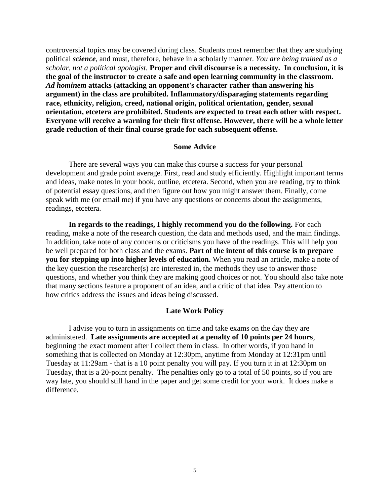controversial topics may be covered during class. Students must remember that they are studying political *science*, and must, therefore, behave in a scholarly manner. *You are being trained as a scholar, not a political apologist.* **Proper and civil discourse is a necessity. In conclusion, it is the goal of the instructor to create a safe and open learning community in the classroom.**  *Ad hominem* **attacks (attacking an opponent's character rather than answering his argument) in the class are prohibited. Inflammatory/disparaging statements regarding race, ethnicity, religion, creed, national origin, political orientation, gender, sexual orientation, etcetera are prohibited. Students are expected to treat each other with respect. Everyone will receive a warning for their first offense. However, there will be a whole letter grade reduction of their final course grade for each subsequent offense.** 

## **Some Advice**

There are several ways you can make this course a success for your personal development and grade point average. First, read and study efficiently. Highlight important terms and ideas, make notes in your book, outline, etcetera. Second, when you are reading, try to think of potential essay questions, and then figure out how you might answer them. Finally, come speak with me (or email me) if you have any questions or concerns about the assignments, readings, etcetera.

**In regards to the readings, I highly recommend you do the following.** For each reading, make a note of the research question, the data and methods used, and the main findings. In addition, take note of any concerns or criticisms you have of the readings. This will help you be well prepared for both class and the exams. **Part of the intent of this course is to prepare you for stepping up into higher levels of education.** When you read an article, make a note of the key question the researcher(s) are interested in, the methods they use to answer those questions, and whether you think they are making good choices or not. You should also take note that many sections feature a proponent of an idea, and a critic of that idea. Pay attention to how critics address the issues and ideas being discussed.

## **Late Work Policy**

I advise you to turn in assignments on time and take exams on the day they are administered. **Late assignments are accepted at a penalty of 10 points per 24 hours**, beginning the exact moment after I collect them in class. In other words, if you hand in something that is collected on Monday at 12:30pm, anytime from Monday at 12:31pm until Tuesday at 11:29am - that is a 10 point penalty you will pay. If you turn it in at 12:30pm on Tuesday, that is a 20-point penalty. The penalties only go to a total of 50 points, so if you are way late, you should still hand in the paper and get some credit for your work. It does make a difference.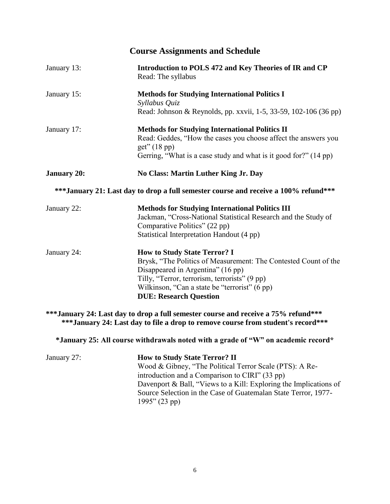| <b>Course Assignments and Schedule</b> |                                                                                                                                                                                                                                                                                |
|----------------------------------------|--------------------------------------------------------------------------------------------------------------------------------------------------------------------------------------------------------------------------------------------------------------------------------|
| January 13:                            | Introduction to POLS 472 and Key Theories of IR and CP<br>Read: The syllabus                                                                                                                                                                                                   |
| January 15:                            | <b>Methods for Studying International Politics I</b><br>Syllabus Quiz<br>Read: Johnson & Reynolds, pp. xxvii, 1-5, 33-59, 102-106 (36 pp)                                                                                                                                      |
| January 17:                            | <b>Methods for Studying International Politics II</b><br>Read: Geddes, "How the cases you choose affect the answers you<br>get''(18 pp)<br>Gerring, "What is a case study and what is it good for?" (14 pp)                                                                    |
| <b>January 20:</b>                     | No Class: Martin Luther King Jr. Day                                                                                                                                                                                                                                           |
|                                        | *** January 21: Last day to drop a full semester course and receive a 100% refund***                                                                                                                                                                                           |
| January 22:                            | <b>Methods for Studying International Politics III</b><br>Jackman, "Cross-National Statistical Research and the Study of<br>Comparative Politics" (22 pp)<br>Statistical Interpretation Handout (4 pp)                                                                         |
| January 24:                            | <b>How to Study State Terror? I</b><br>Brysk, "The Politics of Measurement: The Contested Count of the<br>Disappeared in Argentina" (16 pp)<br>Tilly, "Terror, terrorism, terrorists" (9 pp)<br>Wilkinson, "Can a state be "terrorist" (6 pp)<br><b>DUE: Research Question</b> |
|                                        | *** January 24: Last day to drop a full semester course and receive a 75% refund***<br>*** January 24: Last day to file a drop to remove course from student's record***                                                                                                       |

**\*January 25: All course withdrawals noted with a grade of "W" on academic record\***

| January 27: | <b>How to Study State Terror? II</b>                              |
|-------------|-------------------------------------------------------------------|
|             | Wood & Gibney, "The Political Terror Scale (PTS): A Re-           |
|             | introduction and a Comparison to CIRI" (33 pp)                    |
|             | Davenport & Ball, "Views to a Kill: Exploring the Implications of |
|             | Source Selection in the Case of Guatemalan State Terror, 1977-    |
|             | $1995$ " (23 pp)                                                  |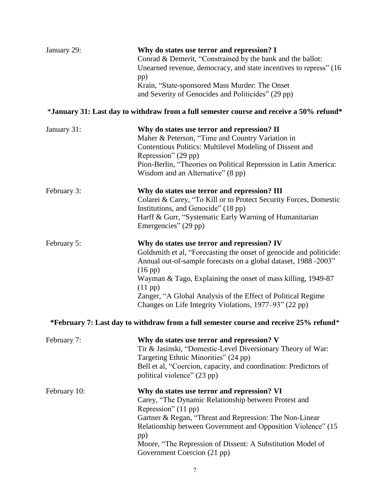| January 29:  | Why do states use terror and repression? I<br>Conrad & Demerit, "Constrained by the bank and the ballot:<br>Unearned revenue, democracy, and state incentives to repress" (16<br>pp)<br>Krain, "State-sponsored Mass Murder: The Onset<br>and Severity of Genocides and Politicides" (29 pp)                                                                                                                              |
|--------------|---------------------------------------------------------------------------------------------------------------------------------------------------------------------------------------------------------------------------------------------------------------------------------------------------------------------------------------------------------------------------------------------------------------------------|
|              | *January 31: Last day to withdraw from a full semester course and receive a 50% refund*                                                                                                                                                                                                                                                                                                                                   |
| January 31:  | Why do states use terror and repression? II<br>Maher & Peterson, "Time and Country Variation in<br>Contentious Politics: Multilevel Modeling of Dissent and<br>Repression" (29 pp)<br>Pion-Berlin, "Theories on Political Repression in Latin America:<br>Wisdom and an Alternative" (8 pp)                                                                                                                               |
| February 3:  | Why do states use terror and repression? III<br>Colarei & Carey, "To Kill or to Protect Security Forces, Domestic<br>Institutions, and Genocide" (18 pp)<br>Harff & Gurr, "Systematic Early Warning of Humanitarian<br>Emergencies" (29 pp)                                                                                                                                                                               |
| February 5:  | Why do states use terror and repression? IV<br>Goldsmith et al, "Forecasting the onset of genocide and politicide:<br>Annual out-of-sample forecasts on a global dataset, 1988 -2003"<br>$(16 \text{ pp})$<br>Wayman & Tago, Explaining the onset of mass killing, 1949-87<br>$(11 \text{ pp})$<br>Zanger, "A Global Analysis of the Effect of Political Regime<br>Changes on Life Integrity Violations, 1977–93" (22 pp) |
|              | *February 7: Last day to withdraw from a full semester course and receive 25% refund*                                                                                                                                                                                                                                                                                                                                     |
| February 7:  | Why do states use terror and repression? V<br>Tir & Jasinski, "Domestic-Level Diversionary Theory of War:<br>Targeting Ethnic Minorities" (24 pp)<br>Bell et al, "Coercion, capacity, and coordination: Predictors of<br>political violence" (23 pp)                                                                                                                                                                      |
| February 10: | Why do states use terror and repression? VI<br>Carey, "The Dynamic Relationship between Protest and<br>Repression" (11 pp)<br>Gartner & Regan, "Threat and Repression: The Non-Linear<br>Relationship between Government and Opposition Violence" (15<br>pp)<br>Moore, "The Repression of Dissent: A Substitution Model of<br>Government Coercion (21 pp)                                                                 |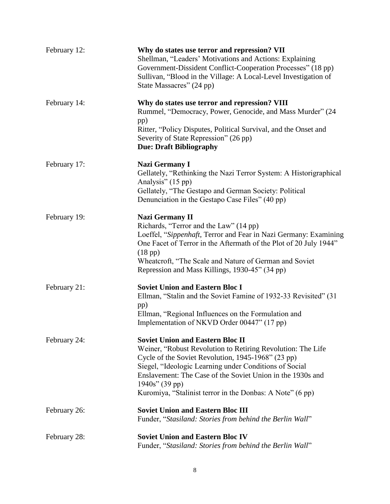| February 12: | Why do states use terror and repression? VII<br>Shellman, "Leaders' Motivations and Actions: Explaining<br>Government-Dissident Conflict-Cooperation Processes" (18 pp)<br>Sullivan, "Blood in the Village: A Local-Level Investigation of<br>State Massacres" (24 pp)                                                                                                 |
|--------------|------------------------------------------------------------------------------------------------------------------------------------------------------------------------------------------------------------------------------------------------------------------------------------------------------------------------------------------------------------------------|
| February 14: | Why do states use terror and repression? VIII<br>Rummel, "Democracy, Power, Genocide, and Mass Murder" (24<br>pp)<br>Ritter, "Policy Disputes, Political Survival, and the Onset and<br>Severity of State Repression" (26 pp)<br><b>Due: Draft Bibliography</b>                                                                                                        |
| February 17: | <b>Nazi Germany I</b><br>Gellately, "Rethinking the Nazi Terror System: A Historigraphical<br>Analysis" (15 pp)<br>Gellately, "The Gestapo and German Society: Political<br>Denunciation in the Gestapo Case Files" (40 pp)                                                                                                                                            |
| February 19: | <b>Nazi Germany II</b><br>Richards, "Terror and the Law" (14 pp)<br>Loeffel, "Sippenhaft, Terror and Fear in Nazi Germany: Examining<br>One Facet of Terror in the Aftermath of the Plot of 20 July 1944"<br>$(18 \text{ pp})$<br>Wheatcroft, "The Scale and Nature of German and Soviet<br>Repression and Mass Killings, 1930-45" (34 pp)                             |
| February 21: | <b>Soviet Union and Eastern Bloc I</b><br>Ellman, "Stalin and the Soviet Famine of 1932-33 Revisited" (31<br>pp)<br>Ellman, "Regional Influences on the Formulation and<br>Implementation of NKVD Order 00447" (17 pp)                                                                                                                                                 |
| February 24: | <b>Soviet Union and Eastern Bloc II</b><br>Weiner, "Robust Revolution to Retiring Revolution: The Life<br>Cycle of the Soviet Revolution, 1945-1968" (23 pp)<br>Siegel, "Ideologic Learning under Conditions of Social<br>Enslavement: The Case of the Soviet Union in the 1930s and<br>$1940s''$ (39 pp)<br>Kuromiya, "Stalinist terror in the Donbas: A Note" (6 pp) |
| February 26: | <b>Soviet Union and Eastern Bloc III</b><br>Funder, "Stasiland: Stories from behind the Berlin Wall"                                                                                                                                                                                                                                                                   |
| February 28: | <b>Soviet Union and Eastern Bloc IV</b><br>Funder, "Stasiland: Stories from behind the Berlin Wall"                                                                                                                                                                                                                                                                    |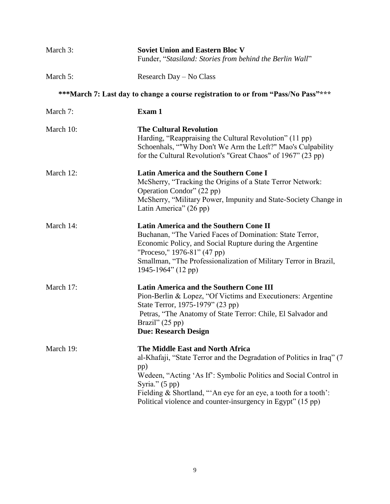| March 3:  | <b>Soviet Union and Eastern Bloc V</b><br>Funder, "Stasiland: Stories from behind the Berlin Wall"                                                                                                                                                                                                                                                  |
|-----------|-----------------------------------------------------------------------------------------------------------------------------------------------------------------------------------------------------------------------------------------------------------------------------------------------------------------------------------------------------|
| March 5:  | Research Day - No Class                                                                                                                                                                                                                                                                                                                             |
|           | ***March 7: Last day to change a course registration to or from "Pass/No Pass"***                                                                                                                                                                                                                                                                   |
| March 7:  | Exam 1                                                                                                                                                                                                                                                                                                                                              |
| March 10: | <b>The Cultural Revolution</b><br>Harding, "Reappraising the Cultural Revolution" (11 pp)<br>Schoenhals, ""Why Don't We Arm the Left?" Mao's Culpability<br>for the Cultural Revolution's "Great Chaos" of 1967" (23 pp)                                                                                                                            |
| March 12: | <b>Latin America and the Southern Cone I</b><br>McSherry, "Tracking the Origins of a State Terror Network:<br>Operation Condor" (22 pp)<br>McSherry, "Military Power, Impunity and State-Society Change in<br>Latin America" (26 pp)                                                                                                                |
| March 14: | <b>Latin America and the Southern Cone II</b><br>Buchanan, "The Varied Faces of Domination: State Terror,<br>Economic Policy, and Social Rupture during the Argentine<br>"Proceso," 1976-81" (47 pp)<br>Smallman, "The Professionalization of Military Terror in Brazil,<br>1945-1964" (12 pp)                                                      |
| March 17: | <b>Latin America and the Southern Cone III</b><br>Pion-Berlin & Lopez, "Of Victims and Executioners: Argentine<br>State Terror, 1975-1979" (23 pp)<br>Petras, "The Anatomy of State Terror: Chile, El Salvador and<br>Brazil" $(25 \text{ pp})$<br><b>Due: Research Design</b>                                                                      |
| March 19: | The Middle East and North Africa<br>al-Khafaji, "State Terror and the Degradation of Politics in Iraq" (7)<br>pp)<br>Wedeen, "Acting 'As If': Symbolic Politics and Social Control in<br>Syria." $(5 \text{ pp})$<br>Fielding & Shortland, "An eye for an eye, a tooth for a tooth':<br>Political violence and counter-insurgency in Egypt" (15 pp) |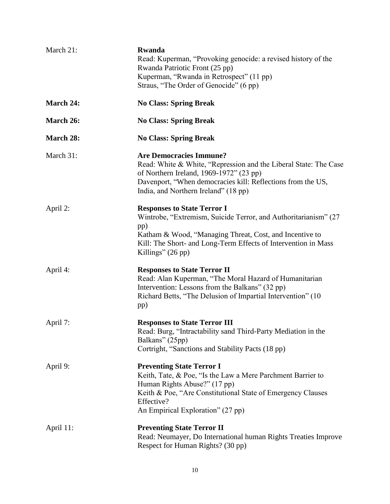| March 21:        | <b>Rwanda</b><br>Read: Kuperman, "Provoking genocide: a revised history of the<br>Rwanda Patriotic Front (25 pp)<br>Kuperman, "Rwanda in Retrospect" (11 pp)<br>Straus, "The Order of Genocide" (6 pp)                                                                    |
|------------------|---------------------------------------------------------------------------------------------------------------------------------------------------------------------------------------------------------------------------------------------------------------------------|
| March 24:        | <b>No Class: Spring Break</b>                                                                                                                                                                                                                                             |
| March 26:        | <b>No Class: Spring Break</b>                                                                                                                                                                                                                                             |
| <b>March 28:</b> | <b>No Class: Spring Break</b>                                                                                                                                                                                                                                             |
| March 31:        | <b>Are Democracies Immune?</b><br>Read: White & White, "Repression and the Liberal State: The Case<br>of Northern Ireland, 1969-1972" (23 pp)<br>Davenport, "When democracies kill: Reflections from the US,<br>India, and Northern Ireland" (18 pp)                      |
| April 2:         | <b>Responses to State Terror I</b><br>Wintrobe, "Extremism, Suicide Terror, and Authoritarianism" (27)<br>pp)<br>Katham & Wood, "Managing Threat, Cost, and Incentive to<br>Kill: The Short- and Long-Term Effects of Intervention in Mass<br>Killings" $(26 \text{ pp})$ |
| April 4:         | <b>Responses to State Terror II</b><br>Read: Alan Kuperman, "The Moral Hazard of Humanitarian<br>Intervention: Lessons from the Balkans" (32 pp)<br>Richard Betts, "The Delusion of Impartial Intervention" (10)<br>pp)                                                   |
| April 7:         | <b>Responses to State Terror III</b><br>Read: Burg, "Intractability sand Third-Party Mediation in the<br>Balkans" (25pp)<br>Cortright, "Sanctions and Stability Pacts (18 pp)                                                                                             |
| April 9:         | <b>Preventing State Terror I</b><br>Keith, Tate, & Poe, "Is the Law a Mere Parchment Barrier to<br>Human Rights Abuse?" (17 pp)<br>Keith & Poe, "Are Constitutional State of Emergency Clauses<br>Effective?<br>An Empirical Exploration" (27 pp)                         |
| April 11:        | <b>Preventing State Terror II</b><br>Read: Neumayer, Do International human Rights Treaties Improve<br>Respect for Human Rights? (30 pp)                                                                                                                                  |